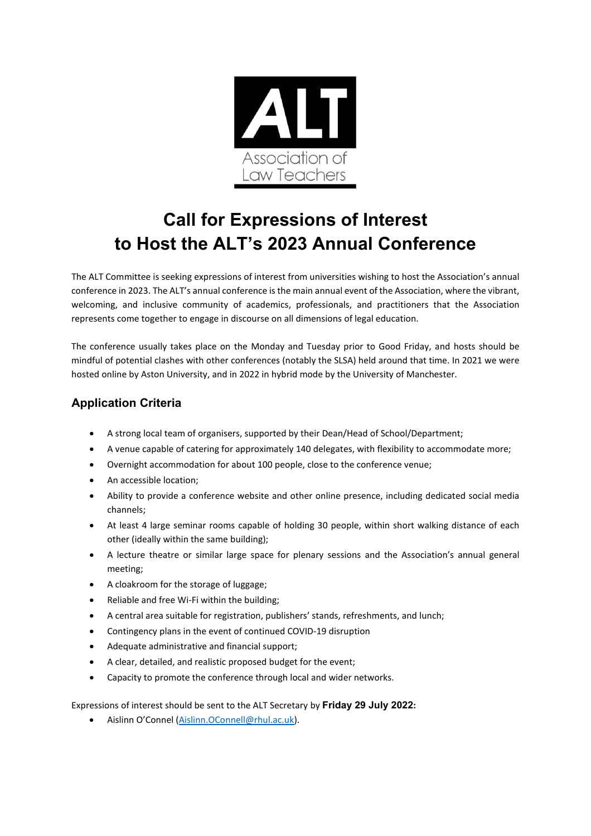

# **Call for Expressions of Interest to Host the ALT's 2023 Annual Conference**

The ALT Committee is seeking expressions of interest from universities wishing to host the Association's annual conference in 2023. The ALT's annual conference is the main annual event of the Association, where the vibrant, welcoming, and inclusive community of academics, professionals, and practitioners that the Association represents come together to engage in discourse on all dimensions of legal education.

The conference usually takes place on the Monday and Tuesday prior to Good Friday, and hosts should be mindful of potential clashes with other conferences (notably the SLSA) held around that time. In 2021 we were hosted online by Aston University, and in 2022 in hybrid mode by the University of Manchester.

# **Application Criteria**

- A strong local team of organisers, supported by their Dean/Head of School/Department;
- A venue capable of catering for approximately 140 delegates, with flexibility to accommodate more;
- Overnight accommodation for about 100 people, close to the conference venue;
- An accessible location;
- Ability to provide a conference website and other online presence, including dedicated social media channels;
- At least 4 large seminar rooms capable of holding 30 people, within short walking distance of each other (ideally within the same building);
- A lecture theatre or similar large space for plenary sessions and the Association's annual general meeting;
- A cloakroom for the storage of luggage;
- Reliable and free Wi-Fi within the building;
- A central area suitable for registration, publishers' stands, refreshments, and lunch;
- Contingency plans in the event of continued COVID-19 disruption
- Adequate administrative and financial support;
- A clear, detailed, and realistic proposed budget for the event;
- Capacity to promote the conference through local and wider networks.

Expressions of interest should be sent to the ALT Secretary by **Friday 29 July 2022:**

• Aislinn O'Connel [\(Aislinn.OConnell@rhul.ac.uk\)](mailto:Aislinn.OConnell@rhul.ac.uk).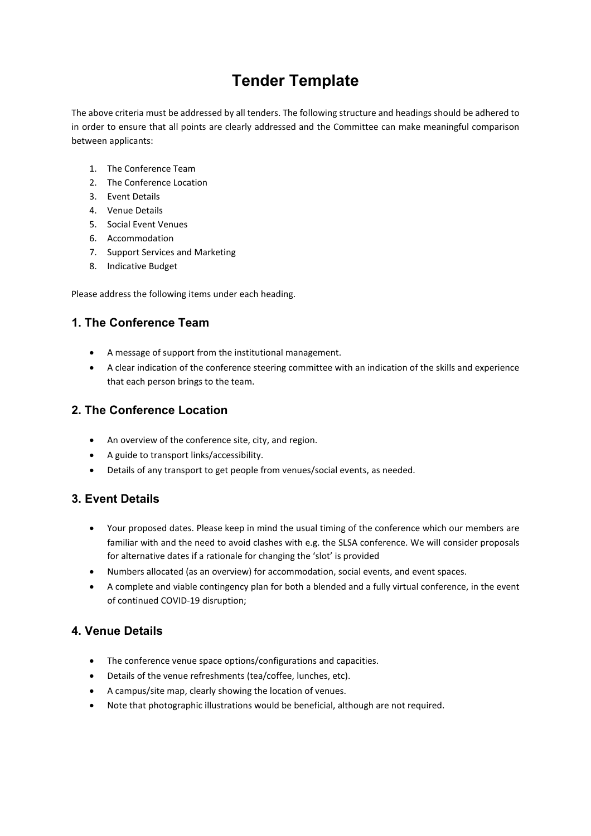# **Tender Template**

The above criteria must be addressed by all tenders. The following structure and headings should be adhered to in order to ensure that all points are clearly addressed and the Committee can make meaningful comparison between applicants:

- 1. The Conference Team
- 2 The Conference Location
- 3. Event Details
- 4. Venue Details
- 5. Social Event Venues
- 6. Accommodation
- 7. Support Services and Marketing
- 8. Indicative Budget

Please address the following items under each heading.

#### **1. The Conference Team**

- A message of support from the institutional management.
- A clear indication of the conference steering committee with an indication of the skills and experience that each person brings to the team.

#### **2. The Conference Location**

- An overview of the conference site, city, and region.
- A guide to transport links/accessibility.
- Details of any transport to get people from venues/social events, as needed.

# **3. Event Details**

- Your proposed dates. Please keep in mind the usual timing of the conference which our members are familiar with and the need to avoid clashes with e.g. the SLSA conference. We will consider proposals for alternative dates if a rationale for changing the 'slot' is provided
- Numbers allocated (as an overview) for accommodation, social events, and event spaces.
- A complete and viable contingency plan for both a blended and a fully virtual conference, in the event of continued COVID-19 disruption;

#### **4. Venue Details**

- The conference venue space options/configurations and capacities.
- Details of the venue refreshments (tea/coffee, lunches, etc).
- A campus/site map, clearly showing the location of venues.
- Note that photographic illustrations would be beneficial, although are not required.